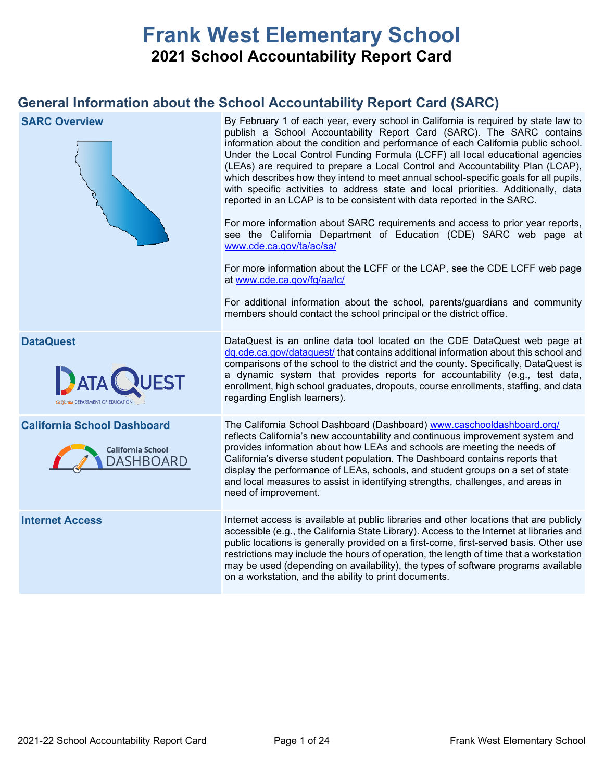# **Frank West Elementary School 2021 School Accountability Report Card**

## **General Information about the School Accountability Report Card (SARC)**

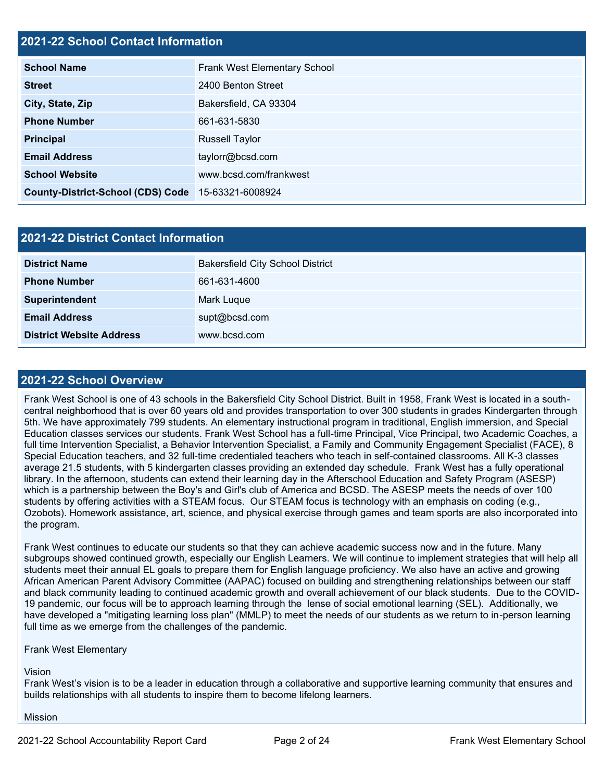## **2021-22 School Contact Information**

| <b>School Name</b>                       | Frank West Elementary School |  |  |  |  |
|------------------------------------------|------------------------------|--|--|--|--|
| <b>Street</b>                            | 2400 Benton Street           |  |  |  |  |
| City, State, Zip                         | Bakersfield, CA 93304        |  |  |  |  |
| <b>Phone Number</b>                      | 661-631-5830                 |  |  |  |  |
| <b>Principal</b>                         | <b>Russell Taylor</b>        |  |  |  |  |
| <b>Email Address</b>                     | taylorr@bcsd.com             |  |  |  |  |
| <b>School Website</b>                    | www.bcsd.com/frankwest       |  |  |  |  |
| <b>County-District-School (CDS) Code</b> | 15-63321-6008924             |  |  |  |  |

| <b>2021-22 District Contact Information</b> |                                         |  |  |  |
|---------------------------------------------|-----------------------------------------|--|--|--|
| <b>District Name</b>                        | <b>Bakersfield City School District</b> |  |  |  |
| <b>Phone Number</b>                         | 661-631-4600                            |  |  |  |
| Superintendent                              | Mark Luque                              |  |  |  |
| <b>Email Address</b>                        | supt@bcsd.com                           |  |  |  |
| <b>District Website Address</b>             | www.bcsd.com                            |  |  |  |

#### **2021-22 School Overview**

Frank West School is one of 43 schools in the Bakersfield City School District. Built in 1958, Frank West is located in a southcentral neighborhood that is over 60 years old and provides transportation to over 300 students in grades Kindergarten through 5th. We have approximately 799 students. An elementary instructional program in traditional, English immersion, and Special Education classes services our students. Frank West School has a full-time Principal, Vice Principal, two Academic Coaches, a full time Intervention Specialist, a Behavior Intervention Specialist, a Family and Community Engagement Specialist (FACE), 8 Special Education teachers, and 32 full-time credentialed teachers who teach in self-contained classrooms. All K-3 classes average 21.5 students, with 5 kindergarten classes providing an extended day schedule. Frank West has a fully operational library. In the afternoon, students can extend their learning day in the Afterschool Education and Safety Program (ASESP) which is a partnership between the Boy's and Girl's club of America and BCSD. The ASESP meets the needs of over 100 students by offering activities with a STEAM focus. Our STEAM focus is technology with an emphasis on coding (e.g., Ozobots). Homework assistance, art, science, and physical exercise through games and team sports are also incorporated into the program.

Frank West continues to educate our students so that they can achieve academic success now and in the future. Many subgroups showed continued growth, especially our English Learners. We will continue to implement strategies that will help all students meet their annual EL goals to prepare them for English language proficiency. We also have an active and growing African American Parent Advisory Committee (AAPAC) focused on building and strengthening relationships between our staff and black community leading to continued academic growth and overall achievement of our black students. Due to the COVID-19 pandemic, our focus will be to approach learning through the lense of social emotional learning (SEL). Additionally, we have developed a "mitigating learning loss plan" (MMLP) to meet the needs of our students as we return to in-person learning full time as we emerge from the challenges of the pandemic.

Frank West Elementary

Vision

Frank West's vision is to be a leader in education through a collaborative and supportive learning community that ensures and builds relationships with all students to inspire them to become lifelong learners.

Mission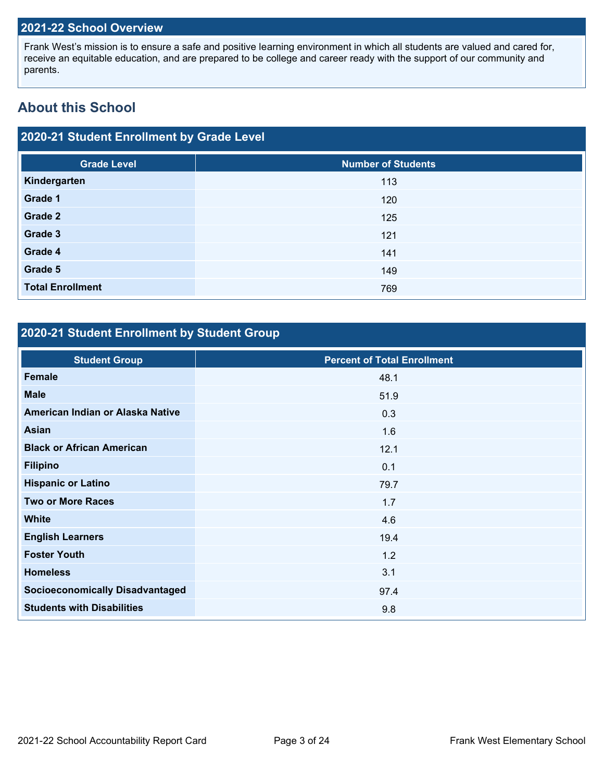### **2021-22 School Overview**

Frank West's mission is to ensure a safe and positive learning environment in which all students are valued and cared for, receive an equitable education, and are prepared to be college and career ready with the support of our community and parents.

## **About this School**

## **2020-21 Student Enrollment by Grade Level**

| <b>Grade Level</b>      | <b>Number of Students</b> |
|-------------------------|---------------------------|
| Kindergarten            | 113                       |
| Grade 1                 | 120                       |
| Grade 2                 | 125                       |
| Grade 3                 | 121                       |
| Grade 4                 | 141                       |
| Grade 5                 | 149                       |
| <b>Total Enrollment</b> | 769                       |

## **2020-21 Student Enrollment by Student Group**

| <b>Student Group</b>                   | <b>Percent of Total Enrollment</b> |
|----------------------------------------|------------------------------------|
| Female                                 | 48.1                               |
| <b>Male</b>                            | 51.9                               |
| American Indian or Alaska Native       | 0.3                                |
| <b>Asian</b>                           | 1.6                                |
| <b>Black or African American</b>       | 12.1                               |
| <b>Filipino</b>                        | 0.1                                |
| <b>Hispanic or Latino</b>              | 79.7                               |
| <b>Two or More Races</b>               | 1.7                                |
| <b>White</b>                           | 4.6                                |
| <b>English Learners</b>                | 19.4                               |
| <b>Foster Youth</b>                    | 1.2                                |
| <b>Homeless</b>                        | 3.1                                |
| <b>Socioeconomically Disadvantaged</b> | 97.4                               |
| <b>Students with Disabilities</b>      | 9.8                                |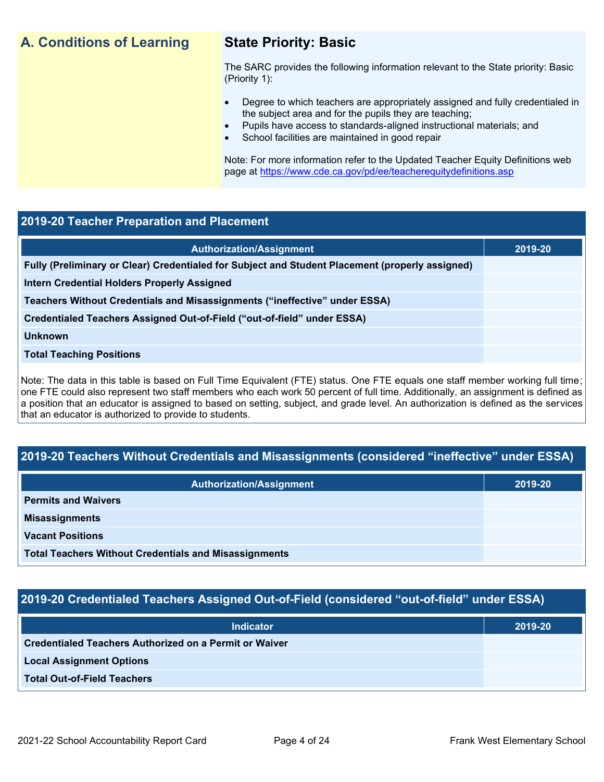## **A. Conditions of Learning State Priority: Basic**

The SARC provides the following information relevant to the State priority: Basic (Priority 1):

- Degree to which teachers are appropriately assigned and fully credentialed in the subject area and for the pupils they are teaching;
	- Pupils have access to standards-aligned instructional materials; and
- School facilities are maintained in good repair

Note: For more information refer to the Updated Teacher Equity Definitions web page at<https://www.cde.ca.gov/pd/ee/teacherequitydefinitions.asp>

#### **2019-20 Teacher Preparation and Placement**

| <b>Authorization/Assignment</b>                                                                 | 2019-20 |
|-------------------------------------------------------------------------------------------------|---------|
| Fully (Preliminary or Clear) Credentialed for Subject and Student Placement (properly assigned) |         |
| Intern Credential Holders Properly Assigned                                                     |         |
| Teachers Without Credentials and Misassignments ("ineffective" under ESSA)                      |         |
| Credentialed Teachers Assigned Out-of-Field ("out-of-field" under ESSA)                         |         |
| <b>Unknown</b>                                                                                  |         |
| <b>Total Teaching Positions</b>                                                                 |         |
|                                                                                                 |         |

Note: The data in this table is based on Full Time Equivalent (FTE) status. One FTE equals one staff member working full time; one FTE could also represent two staff members who each work 50 percent of full time. Additionally, an assignment is defined as a position that an educator is assigned to based on setting, subject, and grade level. An authorization is defined as the services that an educator is authorized to provide to students.

## **2019-20 Teachers Without Credentials and Misassignments (considered "ineffective" under ESSA)**

| <b>Authorization/Assignment</b>                              | 2019-20 |
|--------------------------------------------------------------|---------|
| <b>Permits and Waivers</b>                                   |         |
| <b>Misassignments</b>                                        |         |
| <b>Vacant Positions</b>                                      |         |
| <b>Total Teachers Without Credentials and Misassignments</b> |         |

## **2019-20 Credentialed Teachers Assigned Out-of-Field (considered "out-of-field" under ESSA)**

| <b>Indicator</b>                                       | 2019-20 |
|--------------------------------------------------------|---------|
| Credentialed Teachers Authorized on a Permit or Waiver |         |
| <b>Local Assignment Options</b>                        |         |
| <b>Total Out-of-Field Teachers</b>                     |         |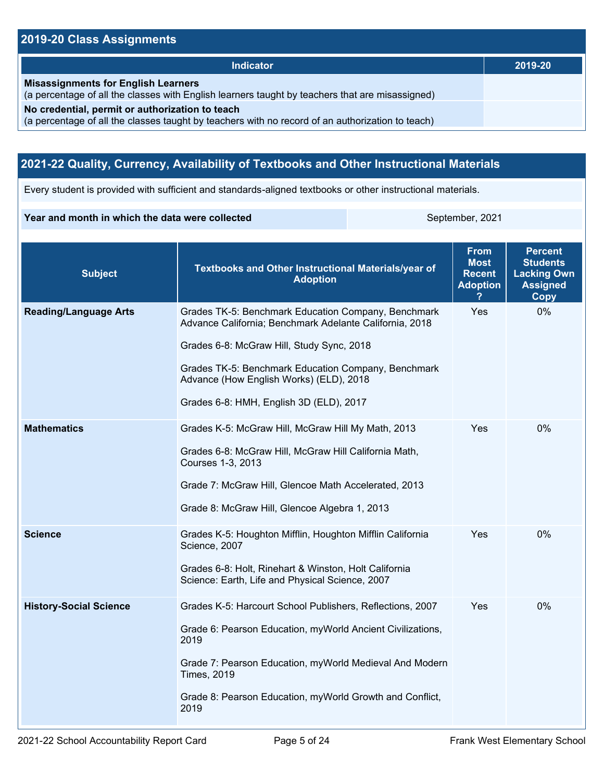## **2019-20 Class Assignments**

| <b>Indicator</b>                                                                                                                                    | 2019-20 |
|-----------------------------------------------------------------------------------------------------------------------------------------------------|---------|
|                                                                                                                                                     |         |
| <b>Misassignments for English Learners</b><br>(a percentage of all the classes with English learners taught by teachers that are misassigned)       |         |
| No credential, permit or authorization to teach<br>(a percentage of all the classes taught by teachers with no record of an authorization to teach) |         |

## **2021-22 Quality, Currency, Availability of Textbooks and Other Instructional Materials**

Every student is provided with sufficient and standards-aligned textbooks or other instructional materials.

#### **Year and month in which the data were collected** September, 2021

| <b>Subject</b>                | Textbooks and Other Instructional Materials/year of<br><b>Adoption</b>                                                                                                                                                                                                                                   | <b>From</b><br><b>Most</b><br><b>Recent</b><br><b>Adoption</b> | <b>Percent</b><br><b>Students</b><br><b>Lacking Own</b><br><b>Assigned</b><br>Copy |
|-------------------------------|----------------------------------------------------------------------------------------------------------------------------------------------------------------------------------------------------------------------------------------------------------------------------------------------------------|----------------------------------------------------------------|------------------------------------------------------------------------------------|
| <b>Reading/Language Arts</b>  | Grades TK-5: Benchmark Education Company, Benchmark<br>Advance California; Benchmark Adelante California, 2018<br>Grades 6-8: McGraw Hill, Study Sync, 2018<br>Grades TK-5: Benchmark Education Company, Benchmark<br>Advance (How English Works) (ELD), 2018<br>Grades 6-8: HMH, English 3D (ELD), 2017 | Yes                                                            | 0%                                                                                 |
| <b>Mathematics</b>            | Grades K-5: McGraw Hill, McGraw Hill My Math, 2013<br>Grades 6-8: McGraw Hill, McGraw Hill California Math,<br>Courses 1-3, 2013<br>Grade 7: McGraw Hill, Glencoe Math Accelerated, 2013<br>Grade 8: McGraw Hill, Glencoe Algebra 1, 2013                                                                | Yes                                                            | 0%                                                                                 |
| <b>Science</b>                | Grades K-5: Houghton Mifflin, Houghton Mifflin California<br>Science, 2007<br>Grades 6-8: Holt, Rinehart & Winston, Holt California<br>Science: Earth, Life and Physical Science, 2007                                                                                                                   | Yes                                                            | $0\%$                                                                              |
| <b>History-Social Science</b> | Grades K-5: Harcourt School Publishers, Reflections, 2007<br>Grade 6: Pearson Education, myWorld Ancient Civilizations,<br>2019<br>Grade 7: Pearson Education, myWorld Medieval And Modern<br><b>Times, 2019</b><br>Grade 8: Pearson Education, myWorld Growth and Conflict,<br>2019                     | Yes                                                            | 0%                                                                                 |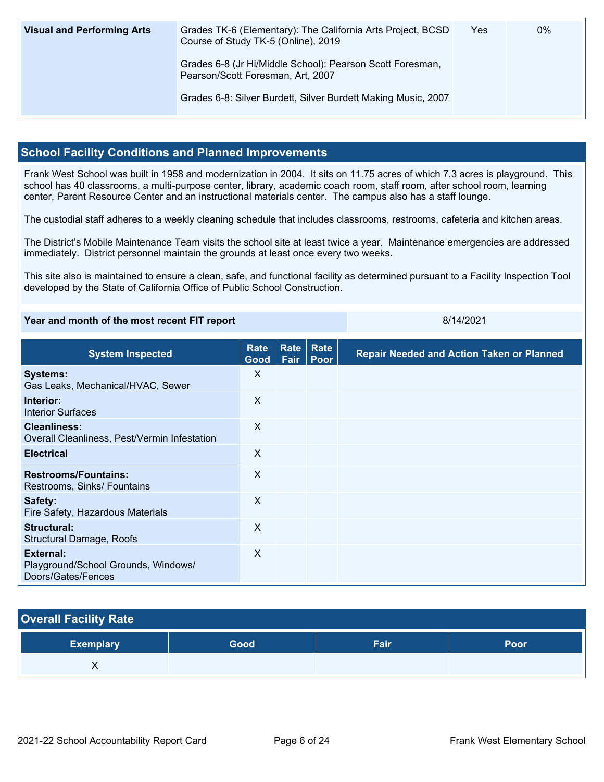| <b>Visual and Performing Arts</b> | Grades TK-6 (Elementary): The California Arts Project, BCSD<br>Course of Study TK-5 (Online), 2019 | Yes | 0% |
|-----------------------------------|----------------------------------------------------------------------------------------------------|-----|----|
|                                   | Grades 6-8 (Jr Hi/Middle School): Pearson Scott Foresman,<br>Pearson/Scott Foresman, Art, 2007     |     |    |
|                                   | Grades 6-8: Silver Burdett, Silver Burdett Making Music, 2007                                      |     |    |

### **School Facility Conditions and Planned Improvements**

Frank West School was built in 1958 and modernization in 2004. It sits on 11.75 acres of which 7.3 acres is playground. This school has 40 classrooms, a multi-purpose center, library, academic coach room, staff room, after school room, learning center, Parent Resource Center and an instructional materials center. The campus also has a staff lounge.

The custodial staff adheres to a weekly cleaning schedule that includes classrooms, restrooms, cafeteria and kitchen areas.

The District's Mobile Maintenance Team visits the school site at least twice a year. Maintenance emergencies are addressed immediately. District personnel maintain the grounds at least once every two weeks.

This site also is maintained to ensure a clean, safe, and functional facility as determined pursuant to a Facility Inspection Tool developed by the State of California Office of Public School Construction.

#### **Year and month of the most recent FIT report** 8/14/2021

| <b>System Inspected</b>                                                | <b>Rate</b><br>Good       | Rate<br>Fair | Rate<br>Poor | <b>Repair Needed and Action Taken or Planned</b> |
|------------------------------------------------------------------------|---------------------------|--------------|--------------|--------------------------------------------------|
| <b>Systems:</b><br>Gas Leaks, Mechanical/HVAC, Sewer                   | X                         |              |              |                                                  |
| Interior:<br><b>Interior Surfaces</b>                                  | $\times$                  |              |              |                                                  |
| <b>Cleanliness:</b><br>Overall Cleanliness, Pest/Vermin Infestation    | $\boldsymbol{\mathsf{X}}$ |              |              |                                                  |
| <b>Electrical</b>                                                      | $\times$                  |              |              |                                                  |
| <b>Restrooms/Fountains:</b><br>Restrooms, Sinks/ Fountains             | X                         |              |              |                                                  |
| Safety:<br>Fire Safety, Hazardous Materials                            | X                         |              |              |                                                  |
| Structural:<br>Structural Damage, Roofs                                | X                         |              |              |                                                  |
| External:<br>Playground/School Grounds, Windows/<br>Doors/Gates/Fences | X                         |              |              |                                                  |

## **Overall Facility Rate**

| <b>Exemplary</b> | Good | Fair | Poor |
|------------------|------|------|------|
| , ,              |      |      |      |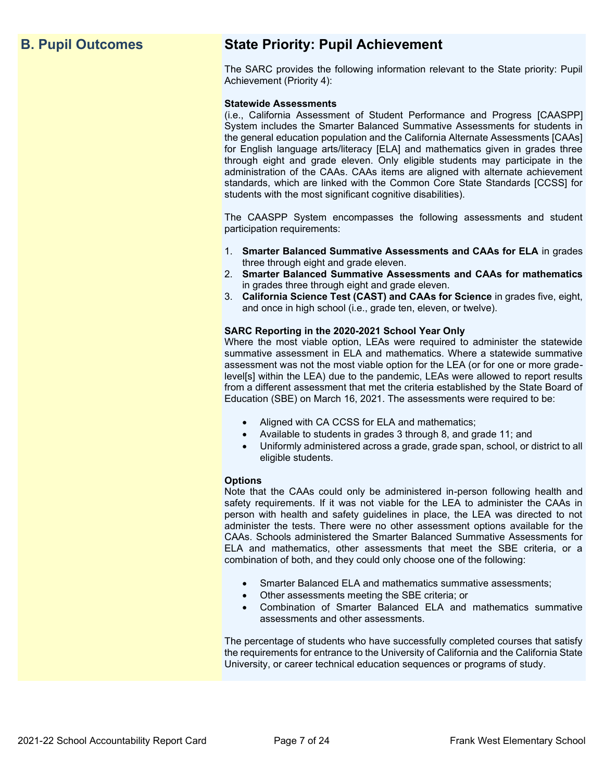## **B. Pupil Outcomes State Priority: Pupil Achievement**

The SARC provides the following information relevant to the State priority: Pupil Achievement (Priority 4):

#### **Statewide Assessments**

(i.e., California Assessment of Student Performance and Progress [CAASPP] System includes the Smarter Balanced Summative Assessments for students in the general education population and the California Alternate Assessments [CAAs] for English language arts/literacy [ELA] and mathematics given in grades three through eight and grade eleven. Only eligible students may participate in the administration of the CAAs. CAAs items are aligned with alternate achievement standards, which are linked with the Common Core State Standards [CCSS] for students with the most significant cognitive disabilities).

The CAASPP System encompasses the following assessments and student participation requirements:

- 1. **Smarter Balanced Summative Assessments and CAAs for ELA** in grades three through eight and grade eleven.
- 2. **Smarter Balanced Summative Assessments and CAAs for mathematics** in grades three through eight and grade eleven.
- 3. **California Science Test (CAST) and CAAs for Science** in grades five, eight, and once in high school (i.e., grade ten, eleven, or twelve).

#### **SARC Reporting in the 2020-2021 School Year Only**

Where the most viable option, LEAs were required to administer the statewide summative assessment in ELA and mathematics. Where a statewide summative assessment was not the most viable option for the LEA (or for one or more gradelevel[s] within the LEA) due to the pandemic, LEAs were allowed to report results from a different assessment that met the criteria established by the State Board of Education (SBE) on March 16, 2021. The assessments were required to be:

- Aligned with CA CCSS for ELA and mathematics;
- Available to students in grades 3 through 8, and grade 11; and
- Uniformly administered across a grade, grade span, school, or district to all eligible students.

#### **Options**

Note that the CAAs could only be administered in-person following health and safety requirements. If it was not viable for the LEA to administer the CAAs in person with health and safety guidelines in place, the LEA was directed to not administer the tests. There were no other assessment options available for the CAAs. Schools administered the Smarter Balanced Summative Assessments for ELA and mathematics, other assessments that meet the SBE criteria, or a combination of both, and they could only choose one of the following:

- Smarter Balanced ELA and mathematics summative assessments;
- Other assessments meeting the SBE criteria; or
- Combination of Smarter Balanced ELA and mathematics summative assessments and other assessments.

The percentage of students who have successfully completed courses that satisfy the requirements for entrance to the University of California and the California State University, or career technical education sequences or programs of study.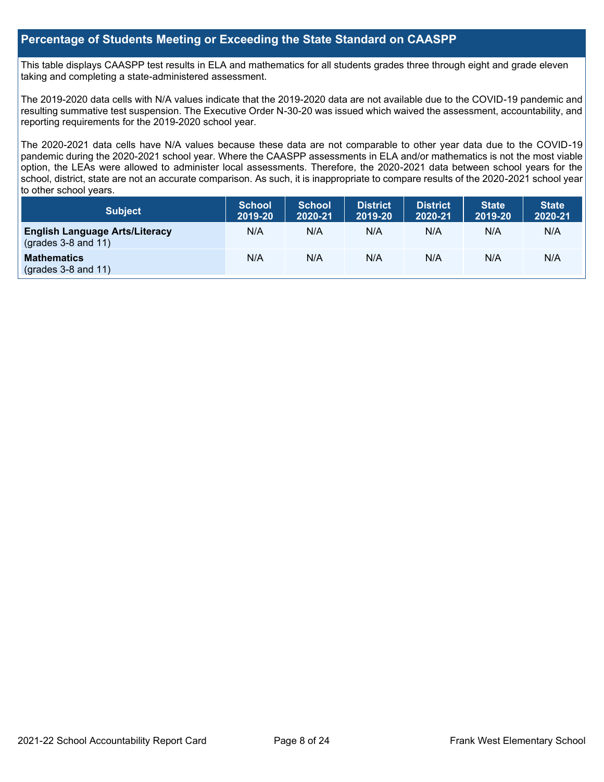### **Percentage of Students Meeting or Exceeding the State Standard on CAASPP**

This table displays CAASPP test results in ELA and mathematics for all students grades three through eight and grade eleven taking and completing a state-administered assessment.

The 2019-2020 data cells with N/A values indicate that the 2019-2020 data are not available due to the COVID-19 pandemic and resulting summative test suspension. The Executive Order N-30-20 was issued which waived the assessment, accountability, and reporting requirements for the 2019-2020 school year.

The 2020-2021 data cells have N/A values because these data are not comparable to other year data due to the COVID-19 pandemic during the 2020-2021 school year. Where the CAASPP assessments in ELA and/or mathematics is not the most viable option, the LEAs were allowed to administer local assessments. Therefore, the 2020-2021 data between school years for the school, district, state are not an accurate comparison. As such, it is inappropriate to compare results of the 2020-2021 school year to other school years.

| Subject                                                              | <b>School</b><br>2019-20 | <b>School</b><br>2020-21 | <b>District</b><br>2019-20 | <b>District</b><br>2020-21 | <b>State</b><br>2019-20 | <b>State</b><br>2020-21 |
|----------------------------------------------------------------------|--------------------------|--------------------------|----------------------------|----------------------------|-------------------------|-------------------------|
| <b>English Language Arts/Literacy</b><br>$\left($ grades 3-8 and 11) | N/A                      | N/A                      | N/A                        | N/A                        | N/A                     | N/A                     |
| <b>Mathematics</b><br>$(grades 3-8 and 11)$                          | N/A                      | N/A                      | N/A                        | N/A                        | N/A                     | N/A                     |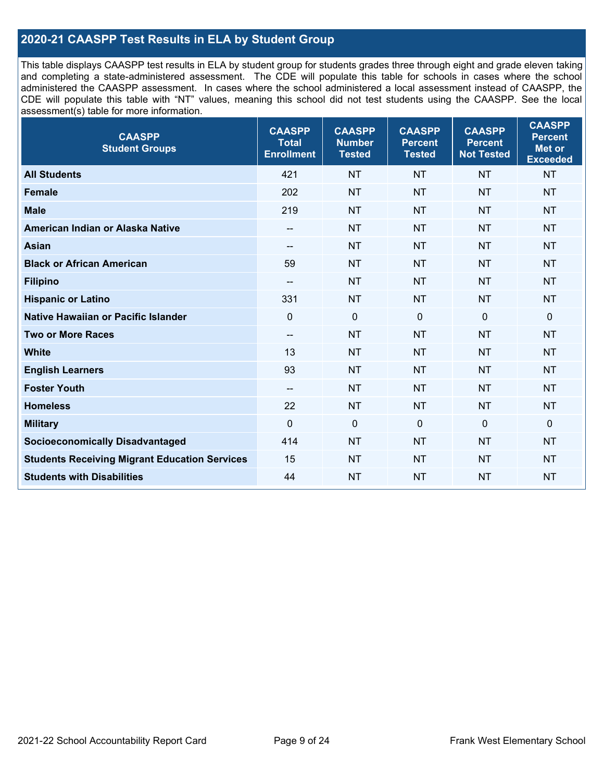## **2020-21 CAASPP Test Results in ELA by Student Group**

This table displays CAASPP test results in ELA by student group for students grades three through eight and grade eleven taking and completing a state-administered assessment. The CDE will populate this table for schools in cases where the school administered the CAASPP assessment. In cases where the school administered a local assessment instead of CAASPP, the CDE will populate this table with "NT" values, meaning this school did not test students using the CAASPP. See the local assessment(s) table for more information.

| <b>CAASPP</b><br><b>Student Groups</b>               | <b>CAASPP</b><br><b>Total</b><br><b>Enrollment</b> | <b>CAASPP</b><br><b>Number</b><br><b>Tested</b> | <b>CAASPP</b><br><b>Percent</b><br><b>Tested</b> | <b>CAASPP</b><br><b>Percent</b><br><b>Not Tested</b> | <b>CAASPP</b><br><b>Percent</b><br><b>Met or</b><br><b>Exceeded</b> |
|------------------------------------------------------|----------------------------------------------------|-------------------------------------------------|--------------------------------------------------|------------------------------------------------------|---------------------------------------------------------------------|
| <b>All Students</b>                                  | 421                                                | <b>NT</b>                                       | <b>NT</b>                                        | <b>NT</b>                                            | <b>NT</b>                                                           |
| <b>Female</b>                                        | 202                                                | <b>NT</b>                                       | <b>NT</b>                                        | <b>NT</b>                                            | <b>NT</b>                                                           |
| <b>Male</b>                                          | 219                                                | <b>NT</b>                                       | <b>NT</b>                                        | <b>NT</b>                                            | <b>NT</b>                                                           |
| American Indian or Alaska Native                     | --                                                 | <b>NT</b>                                       | <b>NT</b>                                        | <b>NT</b>                                            | <b>NT</b>                                                           |
| <b>Asian</b>                                         | --                                                 | <b>NT</b>                                       | <b>NT</b>                                        | <b>NT</b>                                            | <b>NT</b>                                                           |
| <b>Black or African American</b>                     | 59                                                 | <b>NT</b>                                       | <b>NT</b>                                        | <b>NT</b>                                            | <b>NT</b>                                                           |
| <b>Filipino</b>                                      | $\overline{\phantom{a}}$                           | <b>NT</b>                                       | <b>NT</b>                                        | <b>NT</b>                                            | <b>NT</b>                                                           |
| <b>Hispanic or Latino</b>                            | 331                                                | <b>NT</b>                                       | <b>NT</b>                                        | <b>NT</b>                                            | <b>NT</b>                                                           |
| <b>Native Hawaiian or Pacific Islander</b>           | $\mathbf 0$                                        | $\mathbf 0$                                     | $\mathbf 0$                                      | $\mathbf 0$                                          | $\mathbf 0$                                                         |
| <b>Two or More Races</b>                             | $\overline{\phantom{a}}$                           | <b>NT</b>                                       | <b>NT</b>                                        | <b>NT</b>                                            | <b>NT</b>                                                           |
| <b>White</b>                                         | 13                                                 | <b>NT</b>                                       | <b>NT</b>                                        | <b>NT</b>                                            | <b>NT</b>                                                           |
| <b>English Learners</b>                              | 93                                                 | <b>NT</b>                                       | <b>NT</b>                                        | <b>NT</b>                                            | <b>NT</b>                                                           |
| <b>Foster Youth</b>                                  | $-$                                                | <b>NT</b>                                       | <b>NT</b>                                        | <b>NT</b>                                            | <b>NT</b>                                                           |
| <b>Homeless</b>                                      | 22                                                 | <b>NT</b>                                       | <b>NT</b>                                        | <b>NT</b>                                            | <b>NT</b>                                                           |
| <b>Military</b>                                      | $\mathbf 0$                                        | $\mathbf 0$                                     | 0                                                | $\mathbf 0$                                          | $\mathbf 0$                                                         |
| <b>Socioeconomically Disadvantaged</b>               | 414                                                | <b>NT</b>                                       | <b>NT</b>                                        | <b>NT</b>                                            | <b>NT</b>                                                           |
| <b>Students Receiving Migrant Education Services</b> | 15                                                 | <b>NT</b>                                       | <b>NT</b>                                        | <b>NT</b>                                            | NT                                                                  |
| <b>Students with Disabilities</b>                    | 44                                                 | <b>NT</b>                                       | <b>NT</b>                                        | <b>NT</b>                                            | <b>NT</b>                                                           |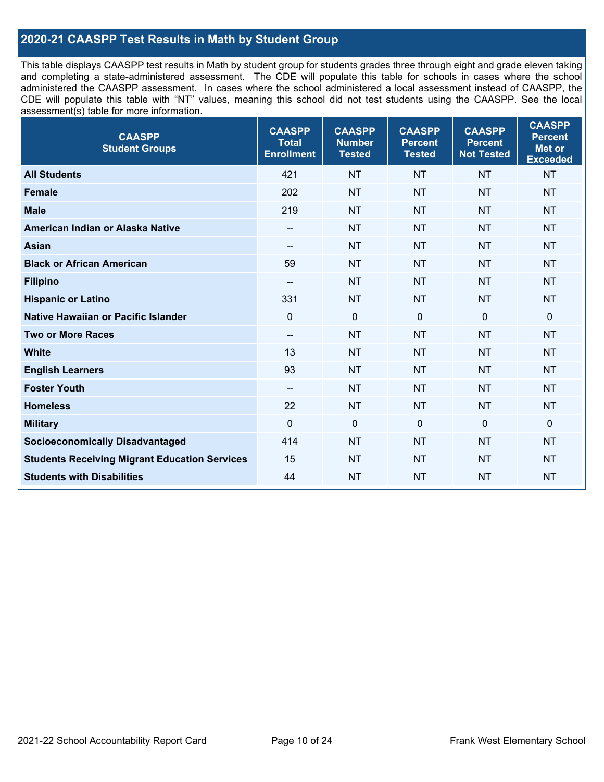## **2020-21 CAASPP Test Results in Math by Student Group**

This table displays CAASPP test results in Math by student group for students grades three through eight and grade eleven taking and completing a state-administered assessment. The CDE will populate this table for schools in cases where the school administered the CAASPP assessment. In cases where the school administered a local assessment instead of CAASPP, the CDE will populate this table with "NT" values, meaning this school did not test students using the CAASPP. See the local assessment(s) table for more information.

| <b>CAASPP</b><br><b>Student Groups</b>               | <b>CAASPP</b><br><b>Total</b><br><b>Enrollment</b> | <b>CAASPP</b><br><b>Number</b><br><b>Tested</b> | <b>CAASPP</b><br><b>Percent</b><br><b>Tested</b> | <b>CAASPP</b><br><b>Percent</b><br><b>Not Tested</b> | <b>CAASPP</b><br><b>Percent</b><br>Met or<br><b>Exceeded</b> |
|------------------------------------------------------|----------------------------------------------------|-------------------------------------------------|--------------------------------------------------|------------------------------------------------------|--------------------------------------------------------------|
| <b>All Students</b>                                  | 421                                                | <b>NT</b>                                       | <b>NT</b>                                        | <b>NT</b>                                            | <b>NT</b>                                                    |
| <b>Female</b>                                        | 202                                                | <b>NT</b>                                       | <b>NT</b>                                        | <b>NT</b>                                            | <b>NT</b>                                                    |
| <b>Male</b>                                          | 219                                                | <b>NT</b>                                       | <b>NT</b>                                        | <b>NT</b>                                            | <b>NT</b>                                                    |
| American Indian or Alaska Native                     | $\overline{\phantom{a}}$                           | <b>NT</b>                                       | <b>NT</b>                                        | <b>NT</b>                                            | <b>NT</b>                                                    |
| <b>Asian</b>                                         | --                                                 | <b>NT</b>                                       | <b>NT</b>                                        | <b>NT</b>                                            | <b>NT</b>                                                    |
| <b>Black or African American</b>                     | 59                                                 | <b>NT</b>                                       | <b>NT</b>                                        | <b>NT</b>                                            | <b>NT</b>                                                    |
| <b>Filipino</b>                                      | $\overline{\phantom{a}}$                           | <b>NT</b>                                       | <b>NT</b>                                        | <b>NT</b>                                            | <b>NT</b>                                                    |
| <b>Hispanic or Latino</b>                            | 331                                                | <b>NT</b>                                       | <b>NT</b>                                        | <b>NT</b>                                            | <b>NT</b>                                                    |
| Native Hawaiian or Pacific Islander                  | $\mathbf 0$                                        | $\mathbf 0$                                     | $\mathbf{0}$                                     | $\overline{0}$                                       | 0                                                            |
| <b>Two or More Races</b>                             | $\overline{\phantom{a}}$                           | <b>NT</b>                                       | <b>NT</b>                                        | <b>NT</b>                                            | <b>NT</b>                                                    |
| <b>White</b>                                         | 13                                                 | <b>NT</b>                                       | <b>NT</b>                                        | <b>NT</b>                                            | <b>NT</b>                                                    |
| <b>English Learners</b>                              | 93                                                 | <b>NT</b>                                       | <b>NT</b>                                        | <b>NT</b>                                            | <b>NT</b>                                                    |
| <b>Foster Youth</b>                                  | $\overline{\phantom{a}}$                           | <b>NT</b>                                       | <b>NT</b>                                        | <b>NT</b>                                            | <b>NT</b>                                                    |
| <b>Homeless</b>                                      | 22                                                 | <b>NT</b>                                       | <b>NT</b>                                        | <b>NT</b>                                            | <b>NT</b>                                                    |
| <b>Military</b>                                      | $\mathbf 0$                                        | $\mathbf 0$                                     | $\mathbf{0}$                                     | $\mathbf 0$                                          | 0                                                            |
| <b>Socioeconomically Disadvantaged</b>               | 414                                                | <b>NT</b>                                       | <b>NT</b>                                        | <b>NT</b>                                            | <b>NT</b>                                                    |
| <b>Students Receiving Migrant Education Services</b> | 15                                                 | <b>NT</b>                                       | <b>NT</b>                                        | <b>NT</b>                                            | <b>NT</b>                                                    |
| <b>Students with Disabilities</b>                    | 44                                                 | <b>NT</b>                                       | <b>NT</b>                                        | <b>NT</b>                                            | <b>NT</b>                                                    |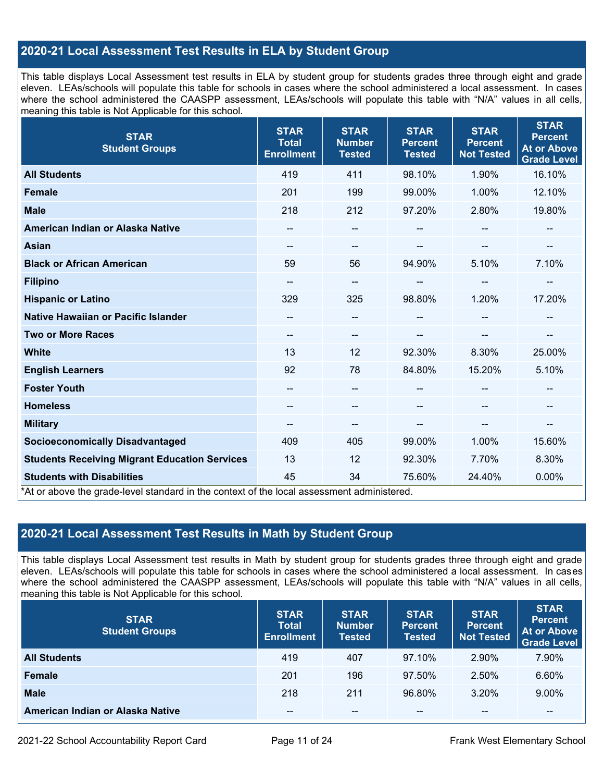## **2020-21 Local Assessment Test Results in ELA by Student Group**

This table displays Local Assessment test results in ELA by student group for students grades three through eight and grade eleven. LEAs/schools will populate this table for schools in cases where the school administered a local assessment. In cases where the school administered the CAASPP assessment, LEAs/schools will populate this table with "N/A" values in all cells, meaning this table is Not Applicable for this school.

| <b>STAR</b><br><b>Student Groups</b>                                                                                            | <b>STAR</b><br><b>Total</b><br><b>Enrollment</b> | <b>STAR</b><br><b>Number</b><br><b>Tested</b> | <b>STAR</b><br><b>Percent</b><br><b>Tested</b> | <b>STAR</b><br><b>Percent</b><br><b>Not Tested</b> | <b>STAR</b><br><b>Percent</b><br><b>At or Above</b><br><b>Grade Level</b> |
|---------------------------------------------------------------------------------------------------------------------------------|--------------------------------------------------|-----------------------------------------------|------------------------------------------------|----------------------------------------------------|---------------------------------------------------------------------------|
| <b>All Students</b>                                                                                                             | 419                                              | 411                                           | 98.10%                                         | 1.90%                                              | 16.10%                                                                    |
| <b>Female</b>                                                                                                                   | 201                                              | 199                                           | 99.00%                                         | 1.00%                                              | 12.10%                                                                    |
| <b>Male</b>                                                                                                                     | 218                                              | 212                                           | 97.20%                                         | 2.80%                                              | 19.80%                                                                    |
| American Indian or Alaska Native                                                                                                | $\qquad \qquad -$                                | --                                            | --                                             | --                                                 | $\overline{\phantom{a}}$                                                  |
| <b>Asian</b>                                                                                                                    | --                                               | --                                            |                                                | --                                                 | --                                                                        |
| <b>Black or African American</b>                                                                                                | 59                                               | 56                                            | 94.90%                                         | 5.10%                                              | 7.10%                                                                     |
| <b>Filipino</b>                                                                                                                 | $\overline{a}$                                   | --                                            | --                                             | --                                                 | $\overline{\phantom{a}}$                                                  |
| <b>Hispanic or Latino</b>                                                                                                       | 329                                              | 325                                           | 98.80%                                         | 1.20%                                              | 17.20%                                                                    |
| Native Hawaiian or Pacific Islander                                                                                             |                                                  | --                                            |                                                |                                                    |                                                                           |
| <b>Two or More Races</b>                                                                                                        | --                                               | --                                            |                                                |                                                    | --                                                                        |
| <b>White</b>                                                                                                                    | 13                                               | 12                                            | 92.30%                                         | 8.30%                                              | 25.00%                                                                    |
| <b>English Learners</b>                                                                                                         | 92                                               | 78                                            | 84.80%                                         | 15.20%                                             | 5.10%                                                                     |
| <b>Foster Youth</b>                                                                                                             | $\overline{a}$                                   | $\qquad \qquad -$                             |                                                |                                                    | $\sim$                                                                    |
| <b>Homeless</b>                                                                                                                 |                                                  | --                                            |                                                |                                                    |                                                                           |
| <b>Military</b>                                                                                                                 | $\qquad \qquad -$                                | --                                            | --                                             | --                                                 | $\overline{\phantom{a}}$                                                  |
| <b>Socioeconomically Disadvantaged</b>                                                                                          | 409                                              | 405                                           | 99.00%                                         | 1.00%                                              | 15.60%                                                                    |
| <b>Students Receiving Migrant Education Services</b>                                                                            | 13                                               | 12                                            | 92.30%                                         | 7.70%                                              | 8.30%                                                                     |
| <b>Students with Disabilities</b><br>*At or above the grade-level standard in the context of the local assessment administered. | 45                                               | 34                                            | 75.60%                                         | 24.40%                                             | 0.00%                                                                     |

## **2020-21 Local Assessment Test Results in Math by Student Group**

This table displays Local Assessment test results in Math by student group for students grades three through eight and grade eleven. LEAs/schools will populate this table for schools in cases where the school administered a local assessment. In cases where the school administered the CAASPP assessment, LEAs/schools will populate this table with "N/A" values in all cells, meaning this table is Not Applicable for this school.

| <b>STAR</b><br><b>Student Groups</b> | <b>STAR</b><br><b>Total</b><br><b>Enrollment</b> | <b>STAR</b><br><b>Number</b><br><b>Tested</b> | <b>STAR</b><br><b>Percent</b><br><b>Tested</b> | <b>STAR</b><br><b>Percent</b><br><b>Not Tested</b> | <b>STAR</b><br><b>Percent</b><br><b>At or Above</b><br><b>Grade Level</b> |
|--------------------------------------|--------------------------------------------------|-----------------------------------------------|------------------------------------------------|----------------------------------------------------|---------------------------------------------------------------------------|
| <b>All Students</b>                  | 419                                              | 407                                           | 97.10%                                         | 2.90%                                              | 7.90%                                                                     |
| <b>Female</b>                        | 201                                              | 196                                           | 97.50%                                         | 2.50%                                              | 6.60%                                                                     |
| <b>Male</b>                          | 218                                              | 211                                           | 96.80%                                         | 3.20%                                              | 9.00%                                                                     |
| American Indian or Alaska Native     | $- -$                                            | $\sim$ $\sim$                                 | $- -$                                          | $\sim$ $\sim$                                      | --                                                                        |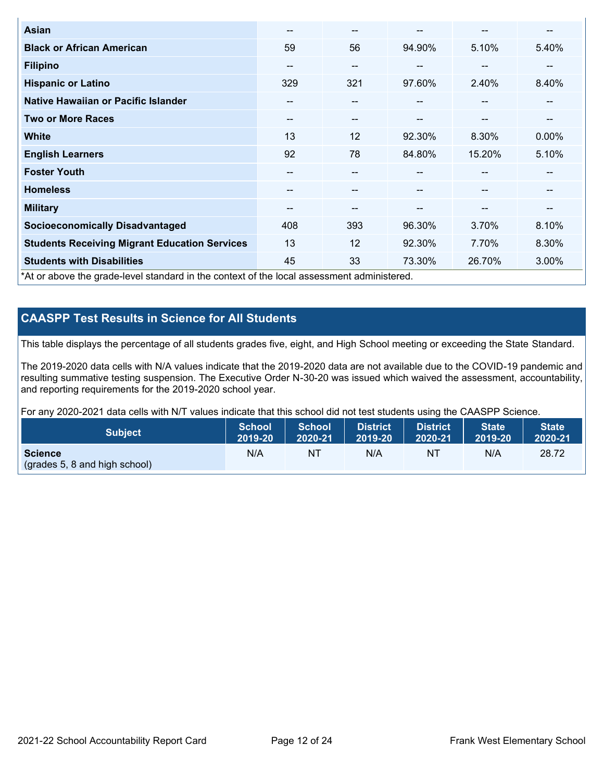| <b>Asian</b>                                                                               | --                       | $- -$                    |        | --                       | --       |
|--------------------------------------------------------------------------------------------|--------------------------|--------------------------|--------|--------------------------|----------|
| <b>Black or African American</b>                                                           | 59                       | 56                       | 94.90% | 5.10%                    | 5.40%    |
| <b>Filipino</b>                                                                            | --                       | $- -$                    | --     | --                       | --       |
| <b>Hispanic or Latino</b>                                                                  | 329                      | 321                      | 97.60% | 2.40%                    | 8.40%    |
| Native Hawaiian or Pacific Islander                                                        | $\overline{\phantom{m}}$ | $\overline{\phantom{m}}$ | --     | $\sim$                   | --       |
| <b>Two or More Races</b>                                                                   | $\overline{\phantom{m}}$ | $- -$                    | --     | $\overline{\phantom{m}}$ | --       |
| <b>White</b>                                                                               | 13                       | 12                       | 92.30% | 8.30%                    | $0.00\%$ |
| <b>English Learners</b>                                                                    | 92                       | 78                       | 84.80% | 15.20%                   | 5.10%    |
| <b>Foster Youth</b>                                                                        | --                       | --                       |        | --                       | --       |
| <b>Homeless</b>                                                                            | --                       | --                       |        | --                       | --       |
| <b>Military</b>                                                                            | --                       | $- -$                    | --     | --                       | --       |
| <b>Socioeconomically Disadvantaged</b>                                                     | 408                      | 393                      | 96.30% | 3.70%                    | 8.10%    |
| <b>Students Receiving Migrant Education Services</b>                                       | 13                       | 12                       | 92.30% | 7.70%                    | 8.30%    |
| <b>Students with Disabilities</b>                                                          | 45                       | 33                       | 73.30% | 26.70%                   | 3.00%    |
| *At or above the grade-level standard in the context of the local assessment administered. |                          |                          |        |                          |          |

## **CAASPP Test Results in Science for All Students**

This table displays the percentage of all students grades five, eight, and High School meeting or exceeding the State Standard.

The 2019-2020 data cells with N/A values indicate that the 2019-2020 data are not available due to the COVID-19 pandemic and resulting summative testing suspension. The Executive Order N-30-20 was issued which waived the assessment, accountability, and reporting requirements for the 2019-2020 school year.

For any 2020-2021 data cells with N/T values indicate that this school did not test students using the CAASPP Science.

| <b>Subject</b>                | School<br>2019-20 | School<br>2020-21 | <b>District</b><br>2019-20 | <b>District</b><br>2020-21 | State <sup>1</sup><br>2019-20 | <b>State</b><br>2020-21 |
|-------------------------------|-------------------|-------------------|----------------------------|----------------------------|-------------------------------|-------------------------|
| <b>Science</b>                | N/A               | NΤ                | N/A                        | N1                         | N/A                           | 28.72                   |
| (grades 5, 8 and high school) |                   |                   |                            |                            |                               |                         |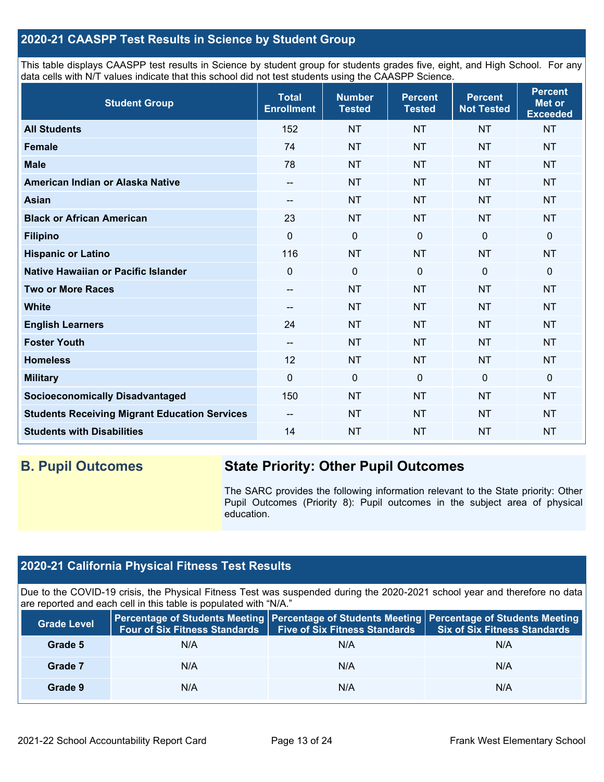## **2020-21 CAASPP Test Results in Science by Student Group**

This table displays CAASPP test results in Science by student group for students grades five, eight, and High School. For any data cells with N/T values indicate that this school did not test students using the CAASPP Science.

| <b>Student Group</b>                                 | <b>Total</b><br><b>Enrollment</b> | <b>Number</b><br><b>Tested</b> | <b>Percent</b><br><b>Tested</b> | <b>Percent</b><br><b>Not Tested</b> | <b>Percent</b><br><b>Met or</b><br><b>Exceeded</b> |
|------------------------------------------------------|-----------------------------------|--------------------------------|---------------------------------|-------------------------------------|----------------------------------------------------|
| <b>All Students</b>                                  | 152                               | <b>NT</b>                      | <b>NT</b>                       | <b>NT</b>                           | <b>NT</b>                                          |
| <b>Female</b>                                        | 74                                | <b>NT</b>                      | <b>NT</b>                       | <b>NT</b>                           | <b>NT</b>                                          |
| <b>Male</b>                                          | 78                                | <b>NT</b>                      | <b>NT</b>                       | <b>NT</b>                           | <b>NT</b>                                          |
| American Indian or Alaska Native                     | $\qquad \qquad -$                 | <b>NT</b>                      | <b>NT</b>                       | <b>NT</b>                           | <b>NT</b>                                          |
| <b>Asian</b>                                         | $\qquad \qquad -$                 | <b>NT</b>                      | <b>NT</b>                       | <b>NT</b>                           | <b>NT</b>                                          |
| <b>Black or African American</b>                     | 23                                | <b>NT</b>                      | <b>NT</b>                       | <b>NT</b>                           | <b>NT</b>                                          |
| <b>Filipino</b>                                      | $\Omega$                          | $\mathbf 0$                    | $\mathbf 0$                     | $\mathbf 0$                         | 0                                                  |
| <b>Hispanic or Latino</b>                            | 116                               | <b>NT</b>                      | <b>NT</b>                       | <b>NT</b>                           | <b>NT</b>                                          |
| Native Hawaiian or Pacific Islander                  | 0                                 | $\mathbf 0$                    | $\mathbf 0$                     | $\mathbf{0}$                        | 0                                                  |
| <b>Two or More Races</b>                             | --                                | <b>NT</b>                      | <b>NT</b>                       | <b>NT</b>                           | <b>NT</b>                                          |
| <b>White</b>                                         | --                                | <b>NT</b>                      | <b>NT</b>                       | <b>NT</b>                           | <b>NT</b>                                          |
| <b>English Learners</b>                              | 24                                | <b>NT</b>                      | <b>NT</b>                       | <b>NT</b>                           | <b>NT</b>                                          |
| <b>Foster Youth</b>                                  | --                                | <b>NT</b>                      | <b>NT</b>                       | <b>NT</b>                           | <b>NT</b>                                          |
| <b>Homeless</b>                                      | 12                                | <b>NT</b>                      | <b>NT</b>                       | <b>NT</b>                           | <b>NT</b>                                          |
| <b>Military</b>                                      | 0                                 | $\mathbf 0$                    | $\mathbf 0$                     | $\mathbf 0$                         | 0                                                  |
| <b>Socioeconomically Disadvantaged</b>               | 150                               | <b>NT</b>                      | <b>NT</b>                       | <b>NT</b>                           | <b>NT</b>                                          |
| <b>Students Receiving Migrant Education Services</b> | $\qquad \qquad -$                 | <b>NT</b>                      | <b>NT</b>                       | <b>NT</b>                           | <b>NT</b>                                          |
| <b>Students with Disabilities</b>                    | 14                                | <b>NT</b>                      | <b>NT</b>                       | <b>NT</b>                           | <b>NT</b>                                          |

## **B. Pupil Outcomes State Priority: Other Pupil Outcomes**

The SARC provides the following information relevant to the State priority: Other Pupil Outcomes (Priority 8): Pupil outcomes in the subject area of physical education.

## **2020-21 California Physical Fitness Test Results**

Due to the COVID-19 crisis, the Physical Fitness Test was suspended during the 2020-2021 school year and therefore no data are reported and each cell in this table is populated with "N/A."

| <b>Grade Level</b> | <b>Four of Six Fitness Standards</b> | <b>Five of Six Fitness Standards</b> | Percentage of Students Meeting   Percentage of Students Meeting   Percentage of Students Meeting<br><b>Six of Six Fitness Standards</b> |
|--------------------|--------------------------------------|--------------------------------------|-----------------------------------------------------------------------------------------------------------------------------------------|
| Grade 5            | N/A                                  | N/A                                  | N/A                                                                                                                                     |
| Grade 7            | N/A                                  | N/A                                  | N/A                                                                                                                                     |
| Grade 9            | N/A                                  | N/A                                  | N/A                                                                                                                                     |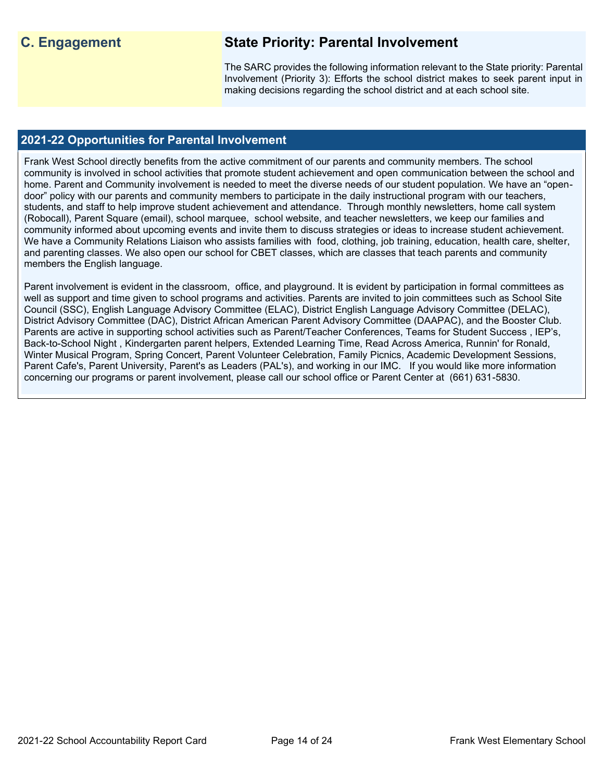## **C. Engagement State Priority: Parental Involvement**

The SARC provides the following information relevant to the State priority: Parental Involvement (Priority 3): Efforts the school district makes to seek parent input in making decisions regarding the school district and at each school site.

## **2021-22 Opportunities for Parental Involvement**

Frank West School directly benefits from the active commitment of our parents and community members. The school community is involved in school activities that promote student achievement and open communication between the school and home. Parent and Community involvement is needed to meet the diverse needs of our student population. We have an "opendoor" policy with our parents and community members to participate in the daily instructional program with our teachers, students, and staff to help improve student achievement and attendance. Through monthly newsletters, home call system (Robocall), Parent Square (email), school marquee, school website, and teacher newsletters, we keep our families and community informed about upcoming events and invite them to discuss strategies or ideas to increase student achievement. We have a Community Relations Liaison who assists families with food, clothing, job training, education, health care, shelter, and parenting classes. We also open our school for CBET classes, which are classes that teach parents and community members the English language.

Parent involvement is evident in the classroom, office, and playground. It is evident by participation in formal committees as well as support and time given to school programs and activities. Parents are invited to join committees such as School Site Council (SSC), English Language Advisory Committee (ELAC), District English Language Advisory Committee (DELAC), District Advisory Committee (DAC), District African American Parent Advisory Committee (DAAPAC), and the Booster Club. Parents are active in supporting school activities such as Parent/Teacher Conferences, Teams for Student Success , IEP's, Back-to-School Night , Kindergarten parent helpers, Extended Learning Time, Read Across America, Runnin' for Ronald, Winter Musical Program, Spring Concert, Parent Volunteer Celebration, Family Picnics, Academic Development Sessions, Parent Cafe's, Parent University, Parent's as Leaders (PAL's), and working in our IMC. If you would like more information concerning our programs or parent involvement, please call our school office or Parent Center at (661) 631-5830.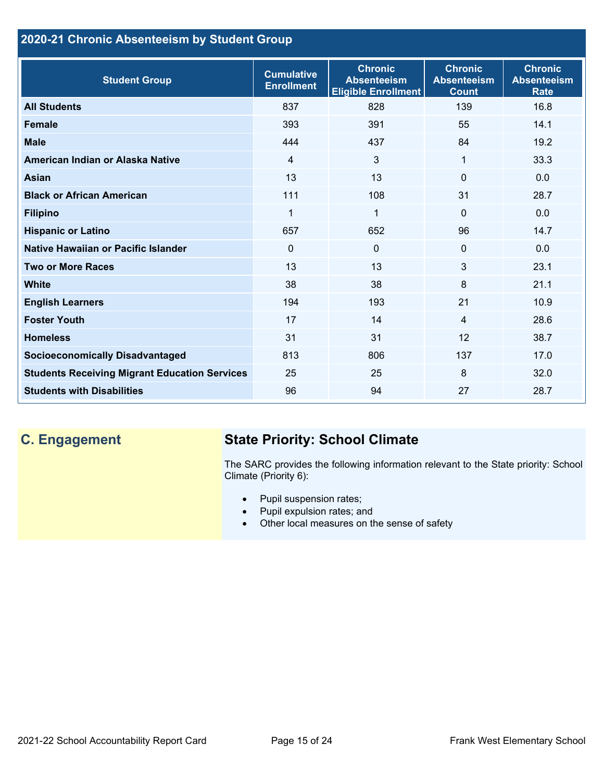## **2020-21 Chronic Absenteeism by Student Group**

| <b>Student Group</b>                                 | <b>Cumulative</b><br><b>Enrollment</b> | <b>Chronic</b><br><b>Absenteeism</b><br><b>Eligible Enrollment</b> | <b>Chronic</b><br><b>Absenteeism</b><br><b>Count</b> | <b>Chronic</b><br><b>Absenteeism</b><br><b>Rate</b> |
|------------------------------------------------------|----------------------------------------|--------------------------------------------------------------------|------------------------------------------------------|-----------------------------------------------------|
| <b>All Students</b>                                  | 837                                    | 828                                                                | 139                                                  | 16.8                                                |
| <b>Female</b>                                        | 393                                    | 391                                                                | 55                                                   | 14.1                                                |
| <b>Male</b>                                          | 444                                    | 437                                                                | 84                                                   | 19.2                                                |
| American Indian or Alaska Native                     | $\overline{4}$                         | 3                                                                  | 1                                                    | 33.3                                                |
| Asian                                                | 13                                     | 13                                                                 | $\Omega$                                             | 0.0                                                 |
| <b>Black or African American</b>                     | 111                                    | 108                                                                | 31                                                   | 28.7                                                |
| <b>Filipino</b>                                      | 1                                      | $\mathbf{1}$                                                       | $\mathbf{0}$                                         | 0.0                                                 |
| <b>Hispanic or Latino</b>                            | 657                                    | 652                                                                | 96                                                   | 14.7                                                |
| Native Hawaiian or Pacific Islander                  | 0                                      | $\mathbf 0$                                                        | $\mathbf 0$                                          | 0.0                                                 |
| <b>Two or More Races</b>                             | 13                                     | 13                                                                 | 3                                                    | 23.1                                                |
| <b>White</b>                                         | 38                                     | 38                                                                 | 8                                                    | 21.1                                                |
| <b>English Learners</b>                              | 194                                    | 193                                                                | 21                                                   | 10.9                                                |
| <b>Foster Youth</b>                                  | 17                                     | 14                                                                 | $\overline{4}$                                       | 28.6                                                |
| <b>Homeless</b>                                      | 31                                     | 31                                                                 | 12                                                   | 38.7                                                |
| <b>Socioeconomically Disadvantaged</b>               | 813                                    | 806                                                                | 137                                                  | 17.0                                                |
| <b>Students Receiving Migrant Education Services</b> | 25                                     | 25                                                                 | 8                                                    | 32.0                                                |
| <b>Students with Disabilities</b>                    | 96                                     | 94                                                                 | 27                                                   | 28.7                                                |

## **C. Engagement State Priority: School Climate**

The SARC provides the following information relevant to the State priority: School Climate (Priority 6):

- Pupil suspension rates;
- Pupil expulsion rates; and
- Other local measures on the sense of safety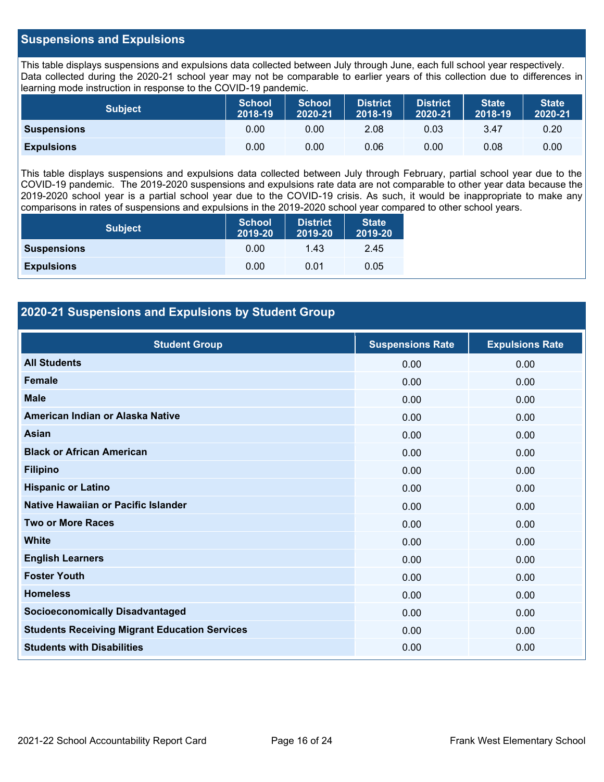### **Suspensions and Expulsions**

This table displays suspensions and expulsions data collected between July through June, each full school year respectively. Data collected during the 2020-21 school year may not be comparable to earlier years of this collection due to differences in learning mode instruction in response to the COVID-19 pandemic.

| <b>Subject</b>     | <b>School</b><br>2018-19 | <b>School</b><br>2020-21 | <b>District</b><br>2018-19 | <b>District</b><br>2020-21 | <b>State</b><br>2018-19 | <b>State</b><br>2020-21 |
|--------------------|--------------------------|--------------------------|----------------------------|----------------------------|-------------------------|-------------------------|
| <b>Suspensions</b> | 0.00                     | 0.00                     | 2.08                       | 0.03                       | 3.47                    | 0.20                    |
| <b>Expulsions</b>  | 0.00                     | 0.00                     | 0.06                       | 0.00                       | 0.08                    | 0.00                    |

This table displays suspensions and expulsions data collected between July through February, partial school year due to the COVID-19 pandemic. The 2019-2020 suspensions and expulsions rate data are not comparable to other year data because the 2019-2020 school year is a partial school year due to the COVID-19 crisis. As such, it would be inappropriate to make any comparisons in rates of suspensions and expulsions in the 2019-2020 school year compared to other school years.

| <b>Subject</b>     | <b>School</b><br>2019-20 | <b>District</b><br>2019-20 | <b>State</b><br>2019-20 |
|--------------------|--------------------------|----------------------------|-------------------------|
| <b>Suspensions</b> | 0.00                     | 1.43                       | 2.45                    |
| <b>Expulsions</b>  | 0.00                     | 0.01                       | 0.05                    |

## **2020-21 Suspensions and Expulsions by Student Group**

| <b>Student Group</b>                                 | <b>Suspensions Rate</b> | <b>Expulsions Rate</b> |
|------------------------------------------------------|-------------------------|------------------------|
| <b>All Students</b>                                  | 0.00                    | 0.00                   |
| <b>Female</b>                                        | 0.00                    | 0.00                   |
| <b>Male</b>                                          | 0.00                    | 0.00                   |
| American Indian or Alaska Native                     | 0.00                    | 0.00                   |
| <b>Asian</b>                                         | 0.00                    | 0.00                   |
| <b>Black or African American</b>                     | 0.00                    | 0.00                   |
| <b>Filipino</b>                                      | 0.00                    | 0.00                   |
| <b>Hispanic or Latino</b>                            | 0.00                    | 0.00                   |
| Native Hawaiian or Pacific Islander                  | 0.00                    | 0.00                   |
| <b>Two or More Races</b>                             | 0.00                    | 0.00                   |
| <b>White</b>                                         | 0.00                    | 0.00                   |
| <b>English Learners</b>                              | 0.00                    | 0.00                   |
| <b>Foster Youth</b>                                  | 0.00                    | 0.00                   |
| <b>Homeless</b>                                      | 0.00                    | 0.00                   |
| <b>Socioeconomically Disadvantaged</b>               | 0.00                    | 0.00                   |
| <b>Students Receiving Migrant Education Services</b> | 0.00                    | 0.00                   |
| <b>Students with Disabilities</b>                    | 0.00                    | 0.00                   |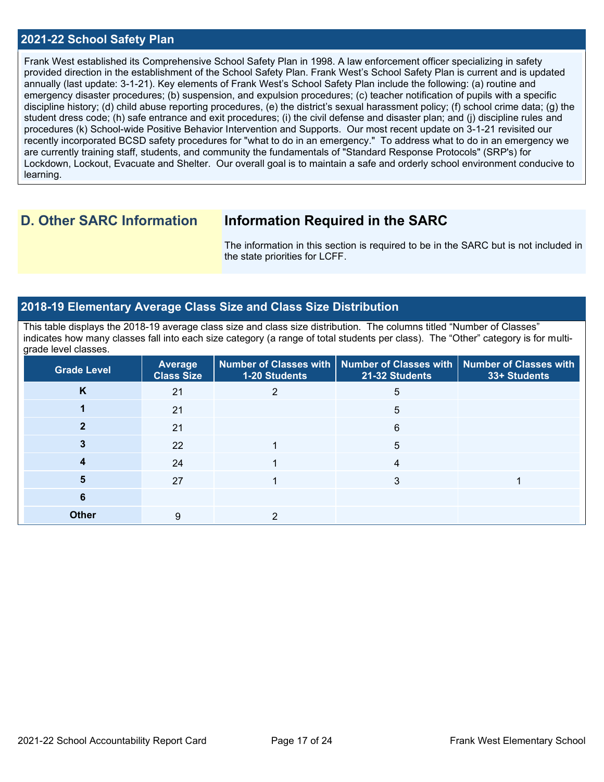#### **2021-22 School Safety Plan**

Frank West established its Comprehensive School Safety Plan in 1998. A law enforcement officer specializing in safety provided direction in the establishment of the School Safety Plan. Frank West's School Safety Plan is current and is updated annually (last update: 3-1-21). Key elements of Frank West's School Safety Plan include the following: (a) routine and emergency disaster procedures; (b) suspension, and expulsion procedures; (c) teacher notification of pupils with a specific discipline history; (d) child abuse reporting procedures, (e) the district's sexual harassment policy; (f) school crime data; (g) the student dress code; (h) safe entrance and exit procedures; (i) the civil defense and disaster plan; and (j) discipline rules and procedures (k) School-wide Positive Behavior Intervention and Supports. Our most recent update on 3-1-21 revisited our recently incorporated BCSD safety procedures for "what to do in an emergency." To address what to do in an emergency we are currently training staff, students, and community the fundamentals of "Standard Response Protocols" (SRP's) for Lockdown, Lockout, Evacuate and Shelter. Our overall goal is to maintain a safe and orderly school environment conducive to learning.

## **D. Other SARC Information Information Required in the SARC**

The information in this section is required to be in the SARC but is not included in the state priorities for LCFF.

#### **2018-19 Elementary Average Class Size and Class Size Distribution**

This table displays the 2018-19 average class size and class size distribution. The columns titled "Number of Classes" indicates how many classes fall into each size category (a range of total students per class). The "Other" category is for multigrade level classes.

| <b>Grade Level</b> | <b>Average</b><br><b>Class Size</b> | 1-20 Students | Number of Classes with   Number of Classes with  <br>21-32 Students | <b>Number of Classes with</b><br>33+ Students |
|--------------------|-------------------------------------|---------------|---------------------------------------------------------------------|-----------------------------------------------|
| K                  | 21                                  |               | 5                                                                   |                                               |
|                    | 21                                  |               | 5                                                                   |                                               |
|                    | 21                                  |               | 6                                                                   |                                               |
|                    | 22                                  |               | 5                                                                   |                                               |
|                    | 24                                  |               | 4                                                                   |                                               |
| 5                  | 27                                  |               | 3                                                                   |                                               |
| 6                  |                                     |               |                                                                     |                                               |
| <b>Other</b>       | 9                                   |               |                                                                     |                                               |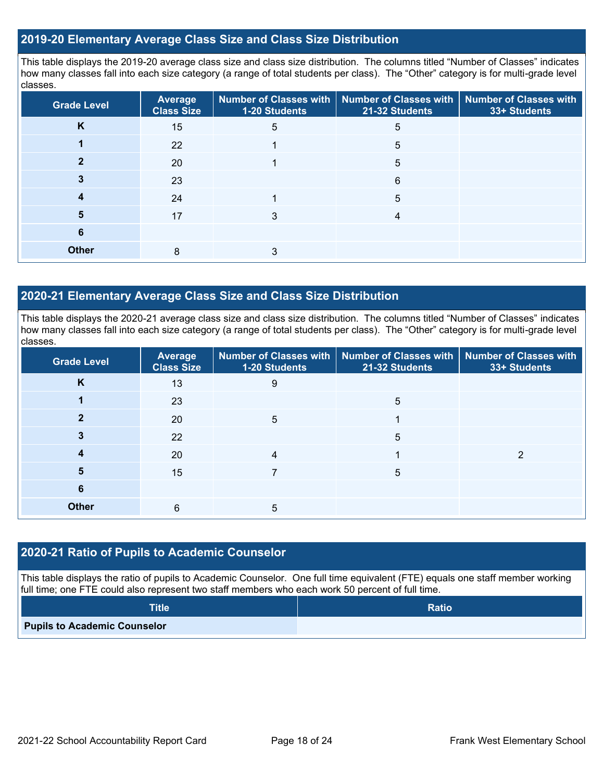#### **2019-20 Elementary Average Class Size and Class Size Distribution**

This table displays the 2019-20 average class size and class size distribution. The columns titled "Number of Classes" indicates how many classes fall into each size category (a range of total students per class). The "Other" category is for multi-grade level classes.

| <b>Grade Level</b> | <b>Average</b><br><b>Class Size</b> | 1-20 Students | Number of Classes with   Number of Classes with  <br>21-32 Students | <b>Number of Classes with</b><br>33+ Students |
|--------------------|-------------------------------------|---------------|---------------------------------------------------------------------|-----------------------------------------------|
| K                  | 15                                  | 5             | 5                                                                   |                                               |
|                    | 22                                  |               | 5                                                                   |                                               |
|                    | 20                                  |               | 5                                                                   |                                               |
|                    | 23                                  |               | 6                                                                   |                                               |
|                    | 24                                  |               | 5                                                                   |                                               |
| 5                  | 17                                  | 3             | 4                                                                   |                                               |
| 6                  |                                     |               |                                                                     |                                               |
| <b>Other</b>       | 8                                   | 3             |                                                                     |                                               |

### **2020-21 Elementary Average Class Size and Class Size Distribution**

This table displays the 2020-21 average class size and class size distribution. The columns titled "Number of Classes" indicates how many classes fall into each size category (a range of total students per class). The "Other" category is for multi-grade level classes.

| <b>Grade Level</b> | Average<br><b>Class Size</b> | 1-20 Students | Number of Classes with   Number of Classes with   Number of Classes with<br>21-32 Students | 33+ Students |
|--------------------|------------------------------|---------------|--------------------------------------------------------------------------------------------|--------------|
| K                  | 13                           | 9             |                                                                                            |              |
|                    | 23                           |               | 5                                                                                          |              |
| 2                  | 20                           | 5             |                                                                                            |              |
|                    | 22                           |               | 5                                                                                          |              |
|                    | 20                           | 4             |                                                                                            | っ            |
| 5                  | 15                           |               | 5                                                                                          |              |
| 6                  |                              |               |                                                                                            |              |
| <b>Other</b>       | 6                            | 5             |                                                                                            |              |

#### **2020-21 Ratio of Pupils to Academic Counselor**

This table displays the ratio of pupils to Academic Counselor. One full time equivalent (FTE) equals one staff member working full time; one FTE could also represent two staff members who each work 50 percent of full time.

| <b>Title</b>                        | <b>Ratio</b> |
|-------------------------------------|--------------|
| <b>Pupils to Academic Counselor</b> |              |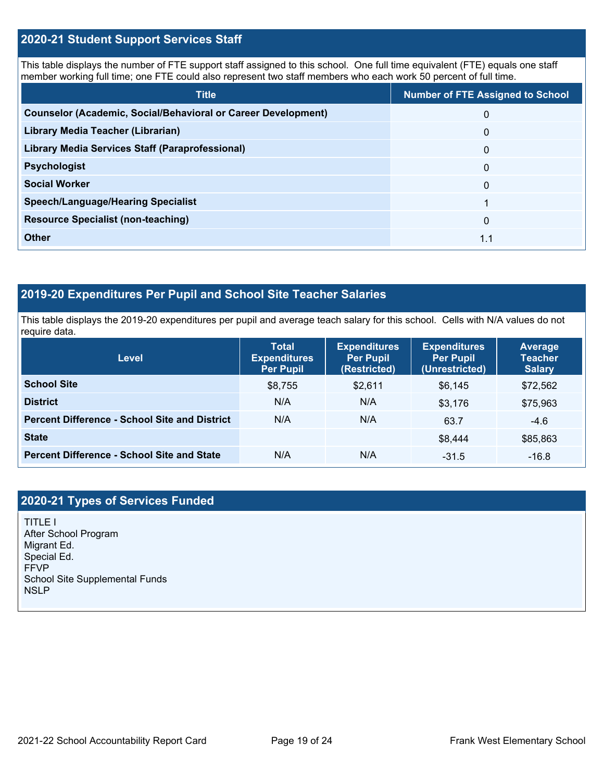### **2020-21 Student Support Services Staff**

This table displays the number of FTE support staff assigned to this school. One full time equivalent (FTE) equals one staff member working full time; one FTE could also represent two staff members who each work 50 percent of full time.

| <b>Title</b>                                                         | <b>Number of FTE Assigned to School</b> |
|----------------------------------------------------------------------|-----------------------------------------|
| <b>Counselor (Academic, Social/Behavioral or Career Development)</b> | 0                                       |
| Library Media Teacher (Librarian)                                    | $\mathbf{0}$                            |
| <b>Library Media Services Staff (Paraprofessional)</b>               | $\mathbf{0}$                            |
| <b>Psychologist</b>                                                  | $\mathbf{0}$                            |
| <b>Social Worker</b>                                                 | $\Omega$                                |
| <b>Speech/Language/Hearing Specialist</b>                            |                                         |
| <b>Resource Specialist (non-teaching)</b>                            | $\Omega$                                |
| <b>Other</b>                                                         | 1.1                                     |

## **2019-20 Expenditures Per Pupil and School Site Teacher Salaries**

This table displays the 2019-20 expenditures per pupil and average teach salary for this school. Cells with N/A values do not require data.

| <b>Level</b>                                         | <b>Total</b><br><b>Expenditures</b><br><b>Per Pupil</b> | <b>Expenditures</b><br><b>Per Pupil</b><br>(Restricted) | <b>Expenditures</b><br><b>Per Pupil</b><br>(Unrestricted) | Average<br><b>Teacher</b><br><b>Salary</b> |
|------------------------------------------------------|---------------------------------------------------------|---------------------------------------------------------|-----------------------------------------------------------|--------------------------------------------|
| <b>School Site</b>                                   | \$8,755                                                 | \$2,611                                                 | \$6,145                                                   | \$72,562                                   |
| <b>District</b>                                      | N/A                                                     | N/A                                                     | \$3,176                                                   | \$75,963                                   |
| <b>Percent Difference - School Site and District</b> | N/A                                                     | N/A                                                     | 63.7                                                      | $-4.6$                                     |
| <b>State</b>                                         |                                                         |                                                         | \$8,444                                                   | \$85,863                                   |
| <b>Percent Difference - School Site and State</b>    | N/A                                                     | N/A                                                     | $-31.5$                                                   | $-16.8$                                    |

## **2020-21 Types of Services Funded**

TITLE I After School Program Migrant Ed. Special Ed. FFVP School Site Supplemental Funds **NSLP**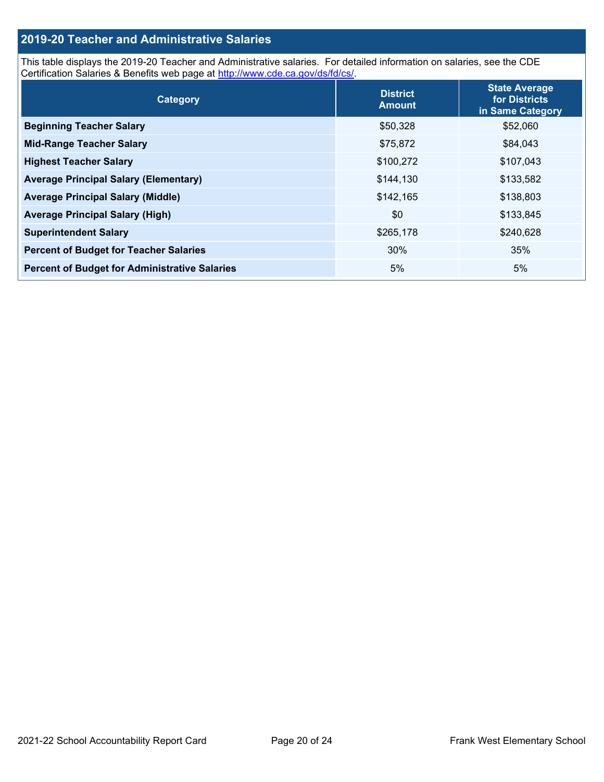## **2019-20 Teacher and Administrative Salaries**

This table displays the 2019-20 Teacher and Administrative salaries. For detailed information on salaries, see the CDE Certification Salaries & Benefits web page at [http://www.cde.ca.gov/ds/fd/cs/.](http://www.cde.ca.gov/ds/fd/cs/)

| Category                                             | <b>District</b><br><b>Amount</b> | <b>State Average</b><br>for Districts<br>in Same Category |
|------------------------------------------------------|----------------------------------|-----------------------------------------------------------|
| <b>Beginning Teacher Salary</b>                      | \$50,328                         | \$52,060                                                  |
| <b>Mid-Range Teacher Salary</b>                      | \$75,872                         | \$84,043                                                  |
| <b>Highest Teacher Salary</b>                        | \$100,272                        | \$107,043                                                 |
| <b>Average Principal Salary (Elementary)</b>         | \$144,130                        | \$133,582                                                 |
| <b>Average Principal Salary (Middle)</b>             | \$142,165                        | \$138,803                                                 |
| <b>Average Principal Salary (High)</b>               | \$0                              | \$133,845                                                 |
| <b>Superintendent Salary</b>                         | \$265,178                        | \$240,628                                                 |
| <b>Percent of Budget for Teacher Salaries</b>        | 30%                              | 35%                                                       |
| <b>Percent of Budget for Administrative Salaries</b> | 5%                               | 5%                                                        |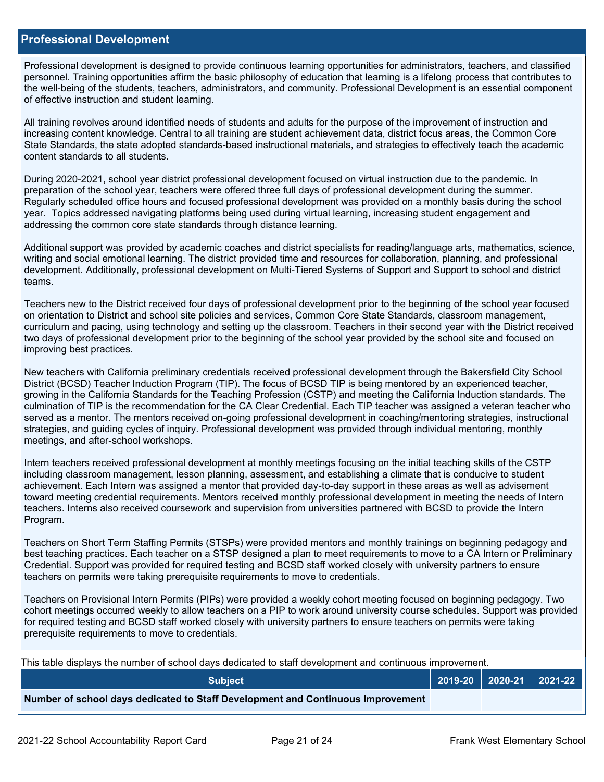#### **Professional Development**

Professional development is designed to provide continuous learning opportunities for administrators, teachers, and classified personnel. Training opportunities affirm the basic philosophy of education that learning is a lifelong process that contributes to the well-being of the students, teachers, administrators, and community. Professional Development is an essential component of effective instruction and student learning.

All training revolves around identified needs of students and adults for the purpose of the improvement of instruction and increasing content knowledge. Central to all training are student achievement data, district focus areas, the Common Core State Standards, the state adopted standards-based instructional materials, and strategies to effectively teach the academic content standards to all students.

During 2020-2021, school year district professional development focused on virtual instruction due to the pandemic. In preparation of the school year, teachers were offered three full days of professional development during the summer. Regularly scheduled office hours and focused professional development was provided on a monthly basis during the school year. Topics addressed navigating platforms being used during virtual learning, increasing student engagement and addressing the common core state standards through distance learning.

Additional support was provided by academic coaches and district specialists for reading/language arts, mathematics, science, writing and social emotional learning. The district provided time and resources for collaboration, planning, and professional development. Additionally, professional development on Multi-Tiered Systems of Support and Support to school and district teams.

Teachers new to the District received four days of professional development prior to the beginning of the school year focused on orientation to District and school site policies and services, Common Core State Standards, classroom management, curriculum and pacing, using technology and setting up the classroom. Teachers in their second year with the District received two days of professional development prior to the beginning of the school year provided by the school site and focused on improving best practices.

New teachers with California preliminary credentials received professional development through the Bakersfield City School District (BCSD) Teacher Induction Program (TIP). The focus of BCSD TIP is being mentored by an experienced teacher, growing in the California Standards for the Teaching Profession (CSTP) and meeting the California Induction standards. The culmination of TIP is the recommendation for the CA Clear Credential. Each TIP teacher was assigned a veteran teacher who served as a mentor. The mentors received on-going professional development in coaching/mentoring strategies, instructional strategies, and guiding cycles of inquiry. Professional development was provided through individual mentoring, monthly meetings, and after-school workshops.

Intern teachers received professional development at monthly meetings focusing on the initial teaching skills of the CSTP including classroom management, lesson planning, assessment, and establishing a climate that is conducive to student achievement. Each Intern was assigned a mentor that provided day-to-day support in these areas as well as advisement toward meeting credential requirements. Mentors received monthly professional development in meeting the needs of Intern teachers. Interns also received coursework and supervision from universities partnered with BCSD to provide the Intern Program.

Teachers on Short Term Staffing Permits (STSPs) were provided mentors and monthly trainings on beginning pedagogy and best teaching practices. Each teacher on a STSP designed a plan to meet requirements to move to a CA Intern or Preliminary Credential. Support was provided for required testing and BCSD staff worked closely with university partners to ensure teachers on permits were taking prerequisite requirements to move to credentials.

Teachers on Provisional Intern Permits (PIPs) were provided a weekly cohort meeting focused on beginning pedagogy. Two cohort meetings occurred weekly to allow teachers on a PIP to work around university course schedules. Support was provided for required testing and BCSD staff worked closely with university partners to ensure teachers on permits were taking prerequisite requirements to move to credentials.

This table displays the number of school days dedicated to staff development and continuous improvement.

| <b>Subiect</b>                                                                  |  | $\vert$ 2019-20 $\vert$ 2020-21 $\vert$ 2021-22 $\vert$ |
|---------------------------------------------------------------------------------|--|---------------------------------------------------------|
| Number of school days dedicated to Staff Development and Continuous Improvement |  |                                                         |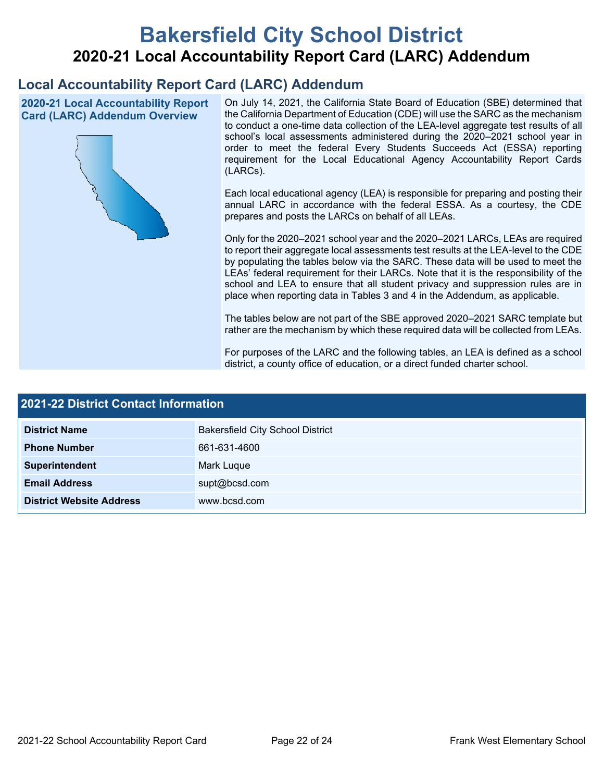# **Bakersfield City School District 2020-21 Local Accountability Report Card (LARC) Addendum**

## **Local Accountability Report Card (LARC) Addendum**

**2020-21 Local Accountability Report Card (LARC) Addendum Overview**



On July 14, 2021, the California State Board of Education (SBE) determined that the California Department of Education (CDE) will use the SARC as the mechanism to conduct a one-time data collection of the LEA-level aggregate test results of all school's local assessments administered during the 2020–2021 school year in order to meet the federal Every Students Succeeds Act (ESSA) reporting requirement for the Local Educational Agency Accountability Report Cards (LARCs).

Each local educational agency (LEA) is responsible for preparing and posting their annual LARC in accordance with the federal ESSA. As a courtesy, the CDE prepares and posts the LARCs on behalf of all LEAs.

Only for the 2020–2021 school year and the 2020–2021 LARCs, LEAs are required to report their aggregate local assessments test results at the LEA-level to the CDE by populating the tables below via the SARC. These data will be used to meet the LEAs' federal requirement for their LARCs. Note that it is the responsibility of the school and LEA to ensure that all student privacy and suppression rules are in place when reporting data in Tables 3 and 4 in the Addendum, as applicable.

The tables below are not part of the SBE approved 2020–2021 SARC template but rather are the mechanism by which these required data will be collected from LEAs.

For purposes of the LARC and the following tables, an LEA is defined as a school district, a county office of education, or a direct funded charter school.

| <b>2021-22 District Contact Information</b> |                                         |  |  |  |
|---------------------------------------------|-----------------------------------------|--|--|--|
| <b>District Name</b>                        | <b>Bakersfield City School District</b> |  |  |  |
| <b>Phone Number</b>                         | 661-631-4600                            |  |  |  |
| Superintendent                              | Mark Luque                              |  |  |  |
| <b>Email Address</b>                        | supt@bcsd.com                           |  |  |  |
| <b>District Website Address</b>             | www.bcsd.com                            |  |  |  |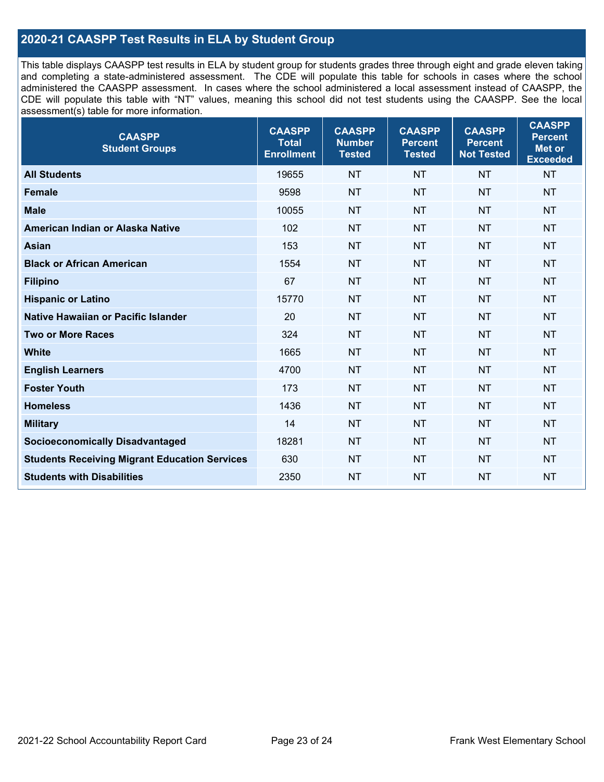## **2020-21 CAASPP Test Results in ELA by Student Group**

This table displays CAASPP test results in ELA by student group for students grades three through eight and grade eleven taking and completing a state-administered assessment. The CDE will populate this table for schools in cases where the school administered the CAASPP assessment. In cases where the school administered a local assessment instead of CAASPP, the CDE will populate this table with "NT" values, meaning this school did not test students using the CAASPP. See the local assessment(s) table for more information.

| <b>CAASPP</b><br><b>Student Groups</b>               | <b>CAASPP</b><br><b>Total</b><br><b>Enrollment</b> | <b>CAASPP</b><br><b>Number</b><br><b>Tested</b> | <b>CAASPP</b><br><b>Percent</b><br><b>Tested</b> | <b>CAASPP</b><br><b>Percent</b><br><b>Not Tested</b> | <b>CAASPP</b><br><b>Percent</b><br>Met or<br><b>Exceeded</b> |
|------------------------------------------------------|----------------------------------------------------|-------------------------------------------------|--------------------------------------------------|------------------------------------------------------|--------------------------------------------------------------|
| <b>All Students</b>                                  | 19655                                              | <b>NT</b>                                       | <b>NT</b>                                        | <b>NT</b>                                            | <b>NT</b>                                                    |
| <b>Female</b>                                        | 9598                                               | <b>NT</b>                                       | <b>NT</b>                                        | <b>NT</b>                                            | <b>NT</b>                                                    |
| <b>Male</b>                                          | 10055                                              | <b>NT</b>                                       | <b>NT</b>                                        | <b>NT</b>                                            | <b>NT</b>                                                    |
| American Indian or Alaska Native                     | 102                                                | <b>NT</b>                                       | <b>NT</b>                                        | <b>NT</b>                                            | <b>NT</b>                                                    |
| <b>Asian</b>                                         | 153                                                | <b>NT</b>                                       | <b>NT</b>                                        | <b>NT</b>                                            | <b>NT</b>                                                    |
| <b>Black or African American</b>                     | 1554                                               | <b>NT</b>                                       | <b>NT</b>                                        | <b>NT</b>                                            | NT                                                           |
| <b>Filipino</b>                                      | 67                                                 | <b>NT</b>                                       | <b>NT</b>                                        | <b>NT</b>                                            | <b>NT</b>                                                    |
| <b>Hispanic or Latino</b>                            | 15770                                              | <b>NT</b>                                       | <b>NT</b>                                        | <b>NT</b>                                            | <b>NT</b>                                                    |
| Native Hawaiian or Pacific Islander                  | 20                                                 | <b>NT</b>                                       | <b>NT</b>                                        | <b>NT</b>                                            | <b>NT</b>                                                    |
| <b>Two or More Races</b>                             | 324                                                | <b>NT</b>                                       | <b>NT</b>                                        | <b>NT</b>                                            | <b>NT</b>                                                    |
| <b>White</b>                                         | 1665                                               | <b>NT</b>                                       | <b>NT</b>                                        | <b>NT</b>                                            | <b>NT</b>                                                    |
| <b>English Learners</b>                              | 4700                                               | <b>NT</b>                                       | <b>NT</b>                                        | <b>NT</b>                                            | <b>NT</b>                                                    |
| <b>Foster Youth</b>                                  | 173                                                | <b>NT</b>                                       | <b>NT</b>                                        | <b>NT</b>                                            | <b>NT</b>                                                    |
| <b>Homeless</b>                                      | 1436                                               | <b>NT</b>                                       | <b>NT</b>                                        | <b>NT</b>                                            | <b>NT</b>                                                    |
| <b>Military</b>                                      | 14                                                 | <b>NT</b>                                       | <b>NT</b>                                        | <b>NT</b>                                            | <b>NT</b>                                                    |
| <b>Socioeconomically Disadvantaged</b>               | 18281                                              | <b>NT</b>                                       | <b>NT</b>                                        | <b>NT</b>                                            | <b>NT</b>                                                    |
| <b>Students Receiving Migrant Education Services</b> | 630                                                | <b>NT</b>                                       | <b>NT</b>                                        | <b>NT</b>                                            | NT                                                           |
| <b>Students with Disabilities</b>                    | 2350                                               | <b>NT</b>                                       | <b>NT</b>                                        | <b>NT</b>                                            | NT                                                           |